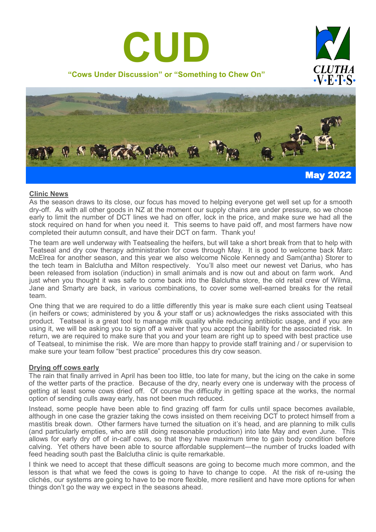





## **Clinic News**

As the season draws to its close, our focus has moved to helping everyone get well set up for a smooth dry-off. As with all other goods in NZ at the moment our supply chains are under pressure, so we chose early to limit the number of DCT lines we had on offer, lock in the price, and make sure we had all the stock required on hand for when you need it. This seems to have paid off, and most farmers have now completed their autumn consult, and have their DCT on farm. Thank you!

The team are well underway with Teatsealing the heifers, but will take a short break from that to help with Teatseal and dry cow therapy administration for cows through May. It is good to welcome back Marc McElrea for another season, and this year we also welcome Nicole Kennedy and Sam(antha) Storer to the tech team in Balclutha and Milton respectively. You'll also meet our newest vet Darius, who has been released from isolation (induction) in small animals and is now out and about on farm work. And just when you thought it was safe to come back into the Balclutha store, the old retail crew of Wilma, Jane and Smarty are back, in various combinations, to cover some well-earned breaks for the retail team.

One thing that we are required to do a little differently this year is make sure each client using Teatseal (in heifers or cows; administered by you & your staff or us) acknowledges the risks associated with this product. Teatseal is a great tool to manage milk quality while reducing antibiotic usage, and if you are using it, we will be asking you to sign off a waiver that you accept the liability for the associated risk. In return, we are required to make sure that you and your team are right up to speed with best practice use of Teatseal, to minimise the risk. We are more than happy to provide staff training and / or supervision to make sure your team follow "best practice" procedures this dry cow season.

## **Drying off cows early**

The rain that finally arrived in April has been too little, too late for many, but the icing on the cake in some of the wetter parts of the practice. Because of the dry, nearly every one is underway with the process of getting at least some cows dried off. Of course the difficulty in getting space at the works, the normal option of sending culls away early, has not been much reduced.

Instead, some people have been able to find grazing off farm for culls until space becomes available, although in one case the grazier taking the cows insisted on them receiving DCT to protect himself from a mastitis break down. Other farmers have turned the situation on it's head, and are planning to milk culls (and particularly empties, who are still doing reasonable production) into late May and even June. This allows for early dry off of in-calf cows, so that they have maximum time to gain body condition before calving. Yet others have been able to source affordable supplement—the number of trucks loaded with feed heading south past the Balclutha clinic is quite remarkable.

I think we need to accept that these difficult seasons are going to become much more common, and the lesson is that what we feed the cows is going to have to change to cope. At the risk of re-using the clichés, our systems are going to have to be more flexible, more resilient and have more options for when things don't go the way we expect in the seasons ahead.